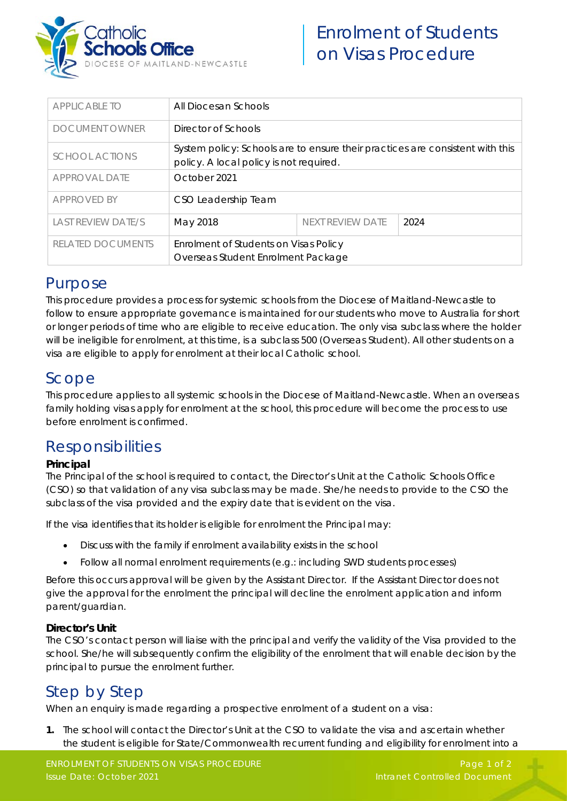

| <b>APPLICABLE TO</b>      | All Diocesan Schools                                                                                                     |                  |      |
|---------------------------|--------------------------------------------------------------------------------------------------------------------------|------------------|------|
| <b>DOCUMENT OWNER</b>     | Director of Schools                                                                                                      |                  |      |
| <b>SCHOOL ACTIONS</b>     | System policy: Schools are to ensure their practices are consistent with this<br>policy. A local policy is not required. |                  |      |
| <b>APPROVAL DATE</b>      | October 2021                                                                                                             |                  |      |
| <b>APPROVED BY</b>        | CSO Leadership Team                                                                                                      |                  |      |
| <b>LAST REVIEW DATE/S</b> | May 2018                                                                                                                 | NEXT REVIEW DATE | 2024 |
| RELATED DOCUMENTS         | Enrolment of Students on Visas Policy<br>Overseas Student Enrolment Package                                              |                  |      |

### Purpose

This procedure provides a process for systemic schools from the Diocese of Maitland-Newcastle to follow to ensure appropriate governance is maintained for our students who move to Australia for short or longer periods of time who are eligible to receive education. The only visa subclass where the holder will be ineligible for enrolment, at this time, is a subclass 500 (Overseas Student). All other students on a visa are eligible to apply for enrolment at their local Catholic school.

### Scope

This procedure applies to all systemic schools in the Diocese of Maitland-Newcastle. When an overseas family holding visas apply for enrolment at the school, this procedure will become the process to use before enrolment is confirmed.

## **Responsibilities**

### **Principal**

The Principal of the school is required to contact, the Director's Unit at the Catholic Schools Office (CSO) so that validation of any visa subclass may be made. She/he needs to provide to the CSO the subclass of the visa provided and the expiry date that is evident on the visa.

If the visa identifies that its holder is eligible for enrolment the Principal may:

- Discuss with the family if enrolment availability exists in the school
- Follow all normal enrolment requirements (e.g.: including SWD students processes)

Before this occurs approval will be given by the Assistant Director. If the Assistant Director does not give the approval for the enrolment the principal will decline the enrolment application and inform parent/guardian.

### **Director's Unit**

The CSO's contact person will liaise with the principal and verify the validity of the Visa provided to the school. She/he will subsequently confirm the eligibility of the enrolment that will enable decision by the principal to pursue the enrolment further.

# Step by Step

When an enquiry is made regarding a prospective enrolment of a student on a visa:

**1.** The school will contact the Director's Unit at the CSO to validate the visa and ascertain whether the student is eligible for State/Commonwealth recurrent funding and eligibility for enrolment into a

ENROLMENT OF STUDENTS ON VISAS PROCEDURE Page 1 of 2 Issue Date: October 2021 Intranet Controlled Document